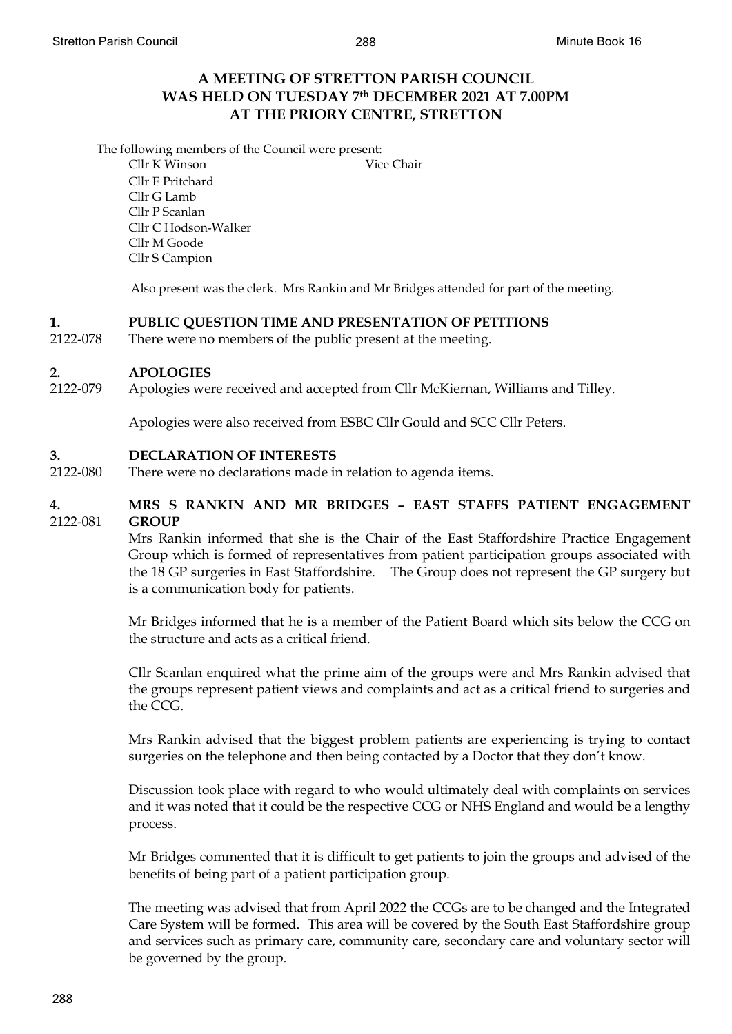# **A MEETING OF STRETTON PARISH COUNCIL WAS HELD ON TUESDAY 7th DECEMBER 2021 AT 7.00PM AT THE PRIORY CENTRE, STRETTON**

The following members of the Council were present:

Cllr K Winson Vice Chair Cllr E Pritchard Cllr G Lamb Cllr P Scanlan Cllr C Hodson-Walker Cllr M Goode Cllr S Campion

Also present was the clerk. Mrs Rankin and Mr Bridges attended for part of the meeting.

# **1. PUBLIC QUESTION TIME AND PRESENTATION OF PETITIONS**

2122-078 There were no members of the public present at the meeting.

## **2. APOLOGIES**

2122-079 Apologies were received and accepted from Cllr McKiernan, Williams and Tilley.

Apologies were also received from ESBC Cllr Gould and SCC Cllr Peters.

#### **3. DECLARATION OF INTERESTS**

2122-080 There were no declarations made in relation to agenda items.

# **4.** 2122-081 **MRS S RANKIN AND MR BRIDGES – EAST STAFFS PATIENT ENGAGEMENT GROUP**

Mrs Rankin informed that she is the Chair of the East Staffordshire Practice Engagement Group which is formed of representatives from patient participation groups associated with the 18 GP surgeries in East Staffordshire. The Group does not represent the GP surgery but is a communication body for patients.

Mr Bridges informed that he is a member of the Patient Board which sits below the CCG on the structure and acts as a critical friend.

Cllr Scanlan enquired what the prime aim of the groups were and Mrs Rankin advised that the groups represent patient views and complaints and act as a critical friend to surgeries and the CCG.

Mrs Rankin advised that the biggest problem patients are experiencing is trying to contact surgeries on the telephone and then being contacted by a Doctor that they don't know.

Discussion took place with regard to who would ultimately deal with complaints on services and it was noted that it could be the respective CCG or NHS England and would be a lengthy process.

Mr Bridges commented that it is difficult to get patients to join the groups and advised of the benefits of being part of a patient participation group.

The meeting was advised that from April 2022 the CCGs are to be changed and the Integrated Care System will be formed. This area will be covered by the South East Staffordshire group and services such as primary care, community care, secondary care and voluntary sector will be governed by the group.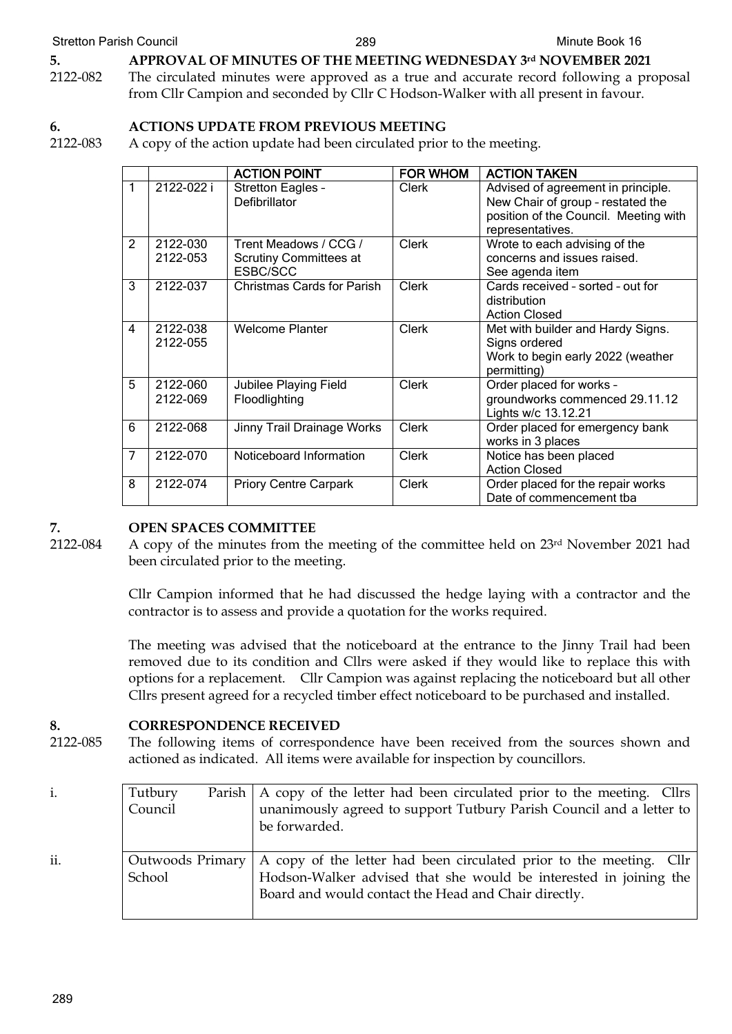# **5. APPROVAL OF MINUTES OF THE MEETING WEDNESDAY 3rd NOVEMBER 2021**

2122-082 The circulated minutes were approved as a true and accurate record following a proposal from Cllr Campion and seconded by Cllr C Hodson-Walker with all present in favour.

# **6. ACTIONS UPDATE FROM PREVIOUS MEETING**

2122-083 A copy of the action update had been circulated prior to the meeting.

|                |                      | <b>ACTION POINT</b>                                                | <b>FOR WHOM</b> | <b>ACTION TAKEN</b>                                                                                                                  |
|----------------|----------------------|--------------------------------------------------------------------|-----------------|--------------------------------------------------------------------------------------------------------------------------------------|
| 1              | 2122-022 i           | Stretton Eagles -<br>Defibrillator                                 | Clerk           | Advised of agreement in principle.<br>New Chair of group - restated the<br>position of the Council. Meeting with<br>representatives. |
| $\overline{2}$ | 2122-030<br>2122-053 | Trent Meadows / CCG /<br><b>Scrutiny Committees at</b><br>ESBC/SCC | <b>Clerk</b>    | Wrote to each advising of the<br>concerns and issues raised.<br>See agenda item                                                      |
| 3              | 2122-037             | Christmas Cards for Parish                                         | <b>Clerk</b>    | Cards received - sorted - out for<br>distribution<br><b>Action Closed</b>                                                            |
| 4              | 2122-038<br>2122-055 | <b>Welcome Planter</b>                                             | <b>Clerk</b>    | Met with builder and Hardy Signs.<br>Signs ordered<br>Work to begin early 2022 (weather<br>permitting)                               |
| 5              | 2122-060<br>2122-069 | Jubilee Playing Field<br>Floodlighting                             | Clerk           | Order placed for works -<br>groundworks commenced 29.11.12<br>Lights w/c 13.12.21                                                    |
| 6              | 2122-068             | Jinny Trail Drainage Works                                         | <b>Clerk</b>    | Order placed for emergency bank<br>works in 3 places                                                                                 |
| $\overline{7}$ | 2122-070             | Noticeboard Information                                            | <b>Clerk</b>    | Notice has been placed<br><b>Action Closed</b>                                                                                       |
| 8              | 2122-074             | <b>Priory Centre Carpark</b>                                       | <b>Clerk</b>    | Order placed for the repair works<br>Date of commencement tba                                                                        |

# **7. OPEN SPACES COMMITTEE**

2122-084

A copy of the minutes from the meeting of the committee held on 23rd November 2021 had been circulated prior to the meeting.

Cllr Campion informed that he had discussed the hedge laying with a contractor and the contractor is to assess and provide a quotation for the works required.

The meeting was advised that the noticeboard at the entrance to the Jinny Trail had been removed due to its condition and Cllrs were asked if they would like to replace this with options for a replacement. Cllr Campion was against replacing the noticeboard but all other Cllrs present agreed for a recycled timber effect noticeboard to be purchased and installed.

# **8. CORRESPONDENCE RECEIVED**

2122-085 The following items of correspondence have been received from the sources shown and actioned as indicated. All items were available for inspection by councillors.

i. Tutbury Parish Council A copy of the letter had been circulated prior to the meeting. Cllrs unanimously agreed to support Tutbury Parish Council and a letter to be forwarded. ii. Outwoods Primary School A copy of the letter had been circulated prior to the meeting. Cllr Hodson-Walker advised that she would be interested in joining the Board and would contact the Head and Chair directly.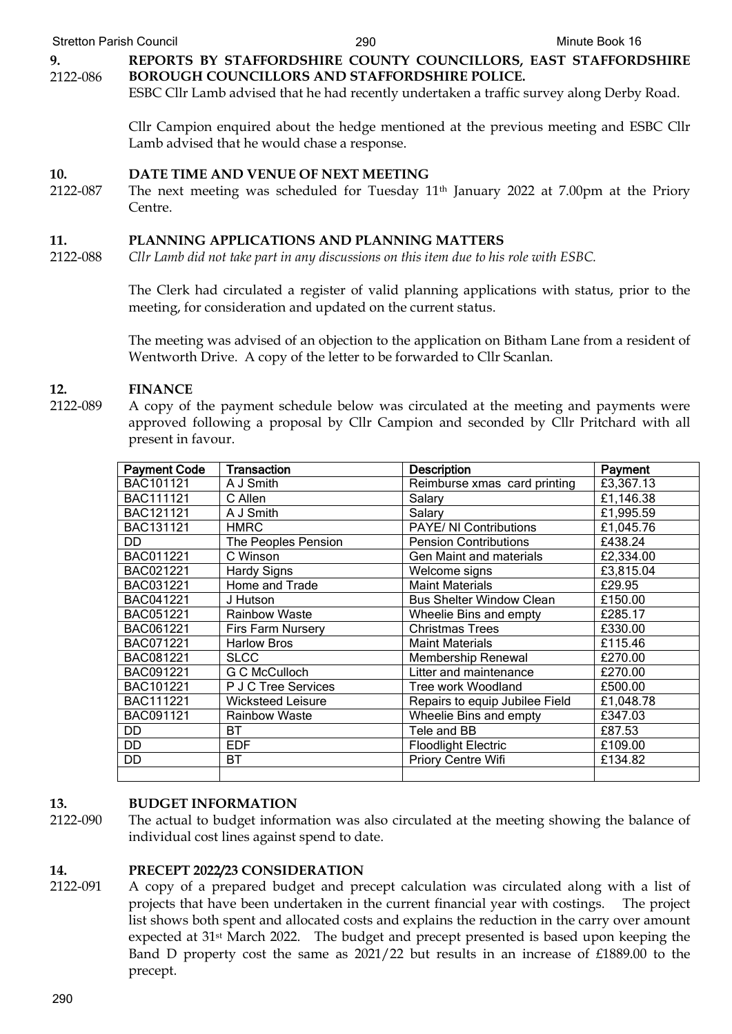Stretton Parish Council **290** 290 Minute Book 16

**9.** 2122-086 **REPORTS BY STAFFORDSHIRE COUNTY COUNCILLORS, EAST STAFFORDSHIRE BOROUGH COUNCILLORS AND STAFFORDSHIRE POLICE.**

ESBC Cllr Lamb advised that he had recently undertaken a traffic survey along Derby Road.

Cllr Campion enquired about the hedge mentioned at the previous meeting and ESBC Cllr Lamb advised that he would chase a response.

## **10. DATE TIME AND VENUE OF NEXT MEETING**

2122-087 The next meeting was scheduled for Tuesday  $11<sup>th</sup>$  January 2022 at 7.00pm at the Priory Centre.

# **11. PLANNING APPLICATIONS AND PLANNING MATTERS**

2122-088 *Cllr Lamb did not take part in any discussions on this item due to his role with ESBC.*

> The Clerk had circulated a register of valid planning applications with status, prior to the meeting, for consideration and updated on the current status.

> The meeting was advised of an objection to the application on Bitham Lane from a resident of Wentworth Drive. A copy of the letter to be forwarded to Cllr Scanlan.

# **12. FINANCE**

2122-089 A copy of the payment schedule below was circulated at the meeting and payments were approved following a proposal by Cllr Campion and seconded by Cllr Pritchard with all present in favour.

| <b>Payment Code</b> | <b>Transaction</b>       | <b>Description</b>                    | Payment   |
|---------------------|--------------------------|---------------------------------------|-----------|
| BAC101121           | A J Smith                | Reimburse xmas card printing          | £3,367.13 |
| BAC111121           | C Allen                  | Salary                                | £1,146.38 |
| BAC121121           | A J Smith                | Salary                                | £1,995.59 |
| BAC131121           | <b>HMRC</b>              | <b>PAYE/ NI Contributions</b>         | £1,045.76 |
| DD                  | The Peoples Pension      | <b>Pension Contributions</b>          | £438.24   |
| BAC011221           | C Winson                 | <b>Gen Maint and materials</b>        | £2,334.00 |
| BAC021221           | <b>Hardy Signs</b>       | Welcome signs                         | £3,815.04 |
| BAC031221           | Home and Trade           | <b>Maint Materials</b>                | £29.95    |
| BAC041221           | J Hutson                 | <b>Bus Shelter Window Clean</b>       | £150.00   |
| BAC051221           | <b>Rainbow Waste</b>     | Wheelie Bins and empty                | £285.17   |
| BAC061221           | <b>Firs Farm Nursery</b> | <b>Christmas Trees</b>                | £330.00   |
| BAC071221           | <b>Harlow Bros</b>       | <b>Maint Materials</b>                | £115.46   |
| BAC081221           | <b>SLCC</b>              | Membership Renewal                    | £270.00   |
| BAC091221           | G C McCulloch            | Litter and maintenance                | £270.00   |
| BAC101221           | P J C Tree Services      | Tree work Woodland                    | £500.00   |
| BAC111221           | <b>Wicksteed Leisure</b> | Repairs to equip Jubilee Field        | £1,048.78 |
| BAC091121           | <b>Rainbow Waste</b>     | Wheelie Bins and empty                | £347.03   |
| DD                  | BT.                      | Tele and BB                           | £87.53    |
| DD                  | <b>EDF</b>               | £109.00<br><b>Floodlight Electric</b> |           |
| DD                  | <b>BT</b>                | Priory Centre Wifi                    | £134.82   |
|                     |                          |                                       |           |

## **13. BUDGET INFORMATION**

2122-090 The actual to budget information was also circulated at the meeting showing the balance of individual cost lines against spend to date.

# **14. PRECEPT 2022/23 CONSIDERATION**

2122-091 A copy of a prepared budget and precept calculation was circulated along with a list of projects that have been undertaken in the current financial year with costings. The project list shows both spent and allocated costs and explains the reduction in the carry over amount expected at 31st March 2022. The budget and precept presented is based upon keeping the Band D property cost the same as 2021/22 but results in an increase of £1889.00 to the precept.